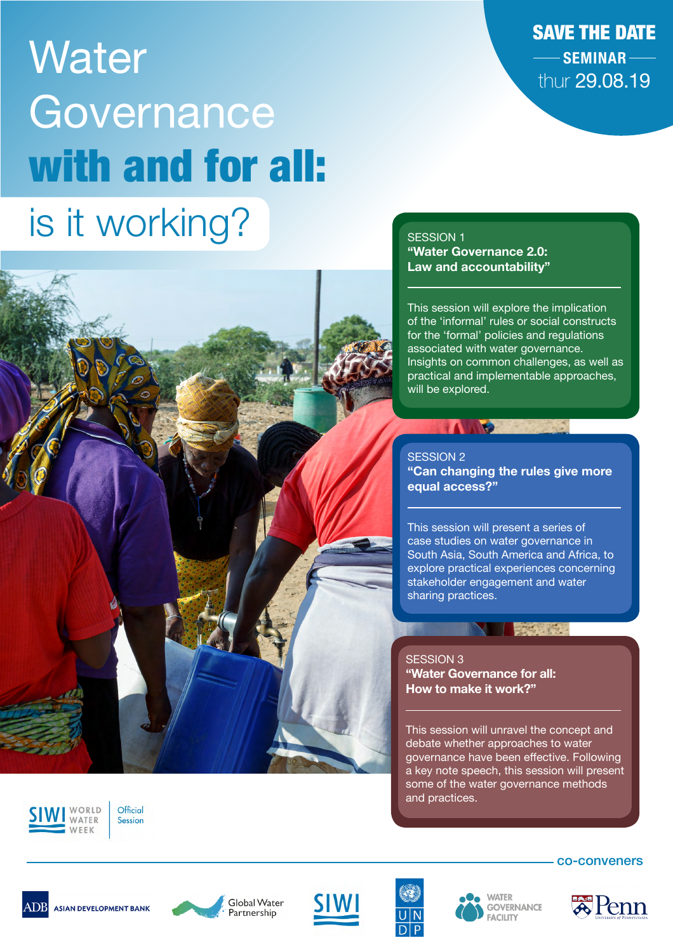# **Water Governance** with and for all: is it working?

SAVE THE DATE **SEMINAR** thur 29.08.19

#### SESSION 1 **"Water Governance 2.0: Law and accountability"**

TAMO

This session will explore the implication of the 'informal' rules or social constructs for the 'formal' policies and regulations associated with water governance. Insights on common challenges, as well as practical and implementable approaches, will be explored.

### SESSION 2 **"Can changing the rules give more equal access?"**

This session will present a series of case studies on water governance in South Asia, South America and Africa, to explore practical experiences concerning stakeholder engagement and water sharing practices.

## 

SESSION 3 **"Water Governance for all: How to make it work?"**

This session will unravel the concept and debate whether approaches to water governance have been effective. Following a key note speech, this session will present some of the water governance methods and practices.



Official Session